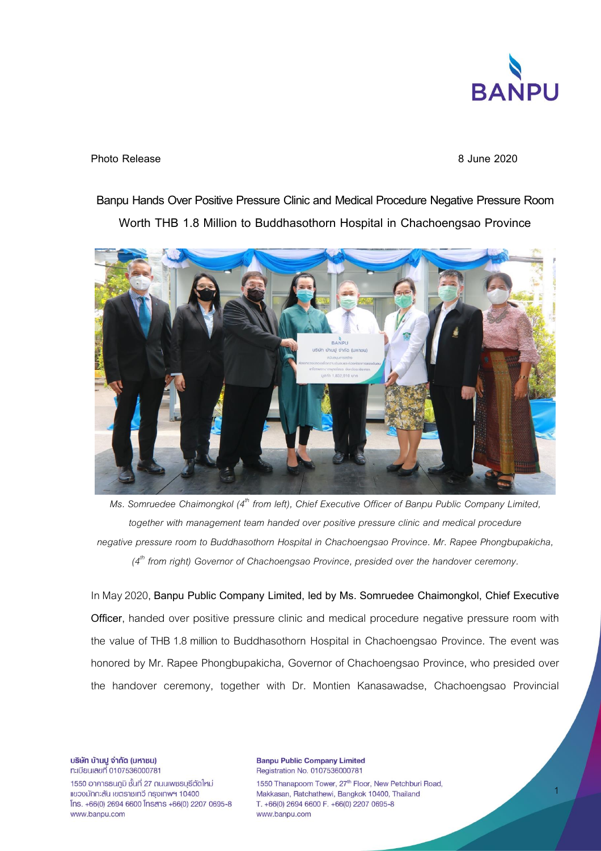

**Photo Release 8 June 2020**

## **Banpu Hands Over Positive Pressure Clinic and Medical Procedure Negative Pressure Room Worth THB 1.8 Million to Buddhasothorn Hospital in Chachoengsao Province**



*Ms. Somruedee Chaimongkol (4th from left), Chief Executive Officer of Banpu Public Company Limited, together with management team handed over positive pressure clinic and medical procedure negative pressure room to Buddhasothorn Hospital in Chachoengsao Province. Mr. Rapee Phongbupakicha, (4 th from right) Governor of Chachoengsao Province, presided over the handover ceremony.*

In May 2020, **Banpu Public Company Limited, led by Ms. Somruedee Chaimongkol, Chief Executive Officer**, handed over positive pressure clinic and medical procedure negative pressure room with the value of THB 1.8 million to Buddhasothorn Hospital in Chachoengsao Province. The event was honored by Mr. Rapee Phongbupakicha, Governor of Chachoengsao Province, who presided over the handover ceremony, together with Dr. Montien Kanasawadse, Chachoengsao Provincial

บริษัท บ้านปู จำกัด (มหาชน) n:เบียนเลขที่ 0107536000781

1550 อาคารธนภูมิ ชั้นที่ 27 ถนนเพชรบรีตัดใหม่ แขวงมักกะสัน เขตราชเทวี กรุงเทพฯ 10400 Ins. +66(0) 2694 6600 Insans +66(0) 2207 0695-8 www.banpu.com

**Banpu Public Company Limited** Registration No. 0107536000781 1550 Thanapoom Tower, 27<sup>th</sup> Floor, New Petchburi Road, Makkasan, Ratchathewi, Bangkok 10400, Thailand T. +66(0) 2694 6600 F. +66(0) 2207 0695-8 www.banpu.com

1